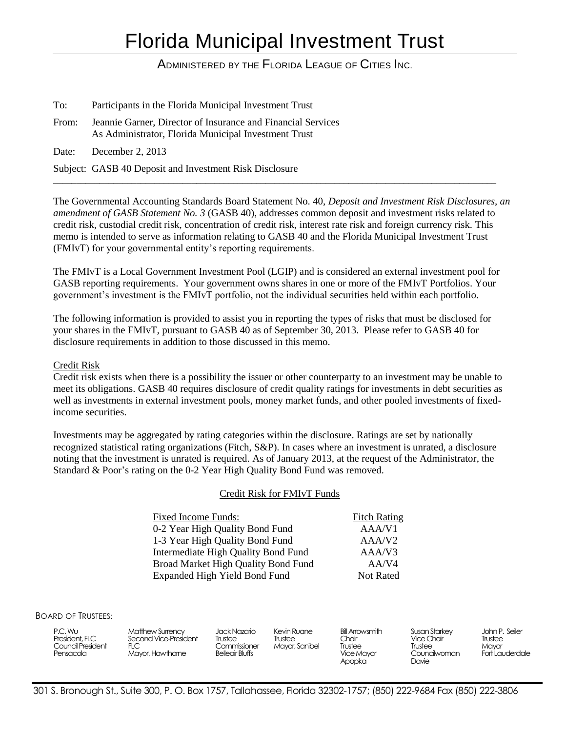# Florida Municipal Investment Trust

ADMINISTERED BY THE FLORIDA LEAGUE OF CITIES INC.

To: Participants in the Florida Municipal Investment Trust

- From: Jeannie Garner, Director of Insurance and Financial Services As Administrator, Florida Municipal Investment Trust
- Date: December 2, 2013

Subject: GASB 40 Deposit and Investment Risk Disclosure

The Governmental Accounting Standards Board Statement No. 40, *Deposit and Investment Risk Disclosures, an amendment of GASB Statement No. 3* (GASB 40), addresses common deposit and investment risks related to credit risk, custodial credit risk, concentration of credit risk, interest rate risk and foreign currency risk. This memo is intended to serve as information relating to GASB 40 and the Florida Municipal Investment Trust (FMIvT) for your governmental entity's reporting requirements.

\_\_\_\_\_\_\_\_\_\_\_\_\_\_\_\_\_\_\_\_\_\_\_\_\_\_\_\_\_\_\_\_\_\_\_\_\_\_\_\_\_\_\_\_\_\_\_\_\_\_\_\_\_\_\_\_\_\_\_\_\_\_\_\_\_\_\_\_\_\_\_\_\_\_\_\_\_\_\_\_\_\_\_\_\_\_\_\_\_\_\_\_\_\_\_\_

The FMIvT is a Local Government Investment Pool (LGIP) and is considered an external investment pool for GASB reporting requirements. Your government owns shares in one or more of the FMIvT Portfolios. Your government's investment is the FMIvT portfolio, not the individual securities held within each portfolio.

The following information is provided to assist you in reporting the types of risks that must be disclosed for your shares in the FMIvT, pursuant to GASB 40 as of September 30, 2013. Please refer to GASB 40 for disclosure requirements in addition to those discussed in this memo.

## Credit Risk

Credit risk exists when there is a possibility the issuer or other counterparty to an investment may be unable to meet its obligations. GASB 40 requires disclosure of credit quality ratings for investments in debt securities as well as investments in external investment pools, money market funds, and other pooled investments of fixedincome securities.

Investments may be aggregated by rating categories within the disclosure. Ratings are set by nationally recognized statistical rating organizations (Fitch, S&P). In cases where an investment is unrated, a disclosure noting that the investment is unrated is required. As of January 2013, at the request of the Administrator, the Standard & Poor's rating on the 0-2 Year High Quality Bond Fund was removed.

#### Credit Risk for FMIvT Funds

Fixed Income Funds: Fitch Rating 0-2 Year High Quality Bond Fund AAA/V1 1-3 Year High Quality Bond Fund AAA/V2 Intermediate High Quality Bond Fund AAA/V3 Broad Market High Quality Bond Fund AA/V4 Expanded High Yield Bond Fund Not Rated

BOARD OF TRUSTEES:

| P.C. Wu<br>President, FLC<br>Council President<br>Pensacola | Matthew Surrency<br>Second Vice-President<br><b>FLC</b><br>Mayor, Hawthome | Jack Nazario<br>Trustee<br>Commissioner<br><b>Belleair Bluffs</b> | Kevin Ruane<br>Trustee<br>Mayor, Sanibel | <b>Bill Arrowsmith</b><br>Chair<br>Trustee<br>Vice Mayor<br>Apopka | Susan Starkey<br><b>Vice Chair</b><br>Trustee<br>Councilwoman<br>Davie | John P. Seiler<br>Trustee<br>Mavor<br>Fort Lauderdale |
|-------------------------------------------------------------|----------------------------------------------------------------------------|-------------------------------------------------------------------|------------------------------------------|--------------------------------------------------------------------|------------------------------------------------------------------------|-------------------------------------------------------|
|-------------------------------------------------------------|----------------------------------------------------------------------------|-------------------------------------------------------------------|------------------------------------------|--------------------------------------------------------------------|------------------------------------------------------------------------|-------------------------------------------------------|